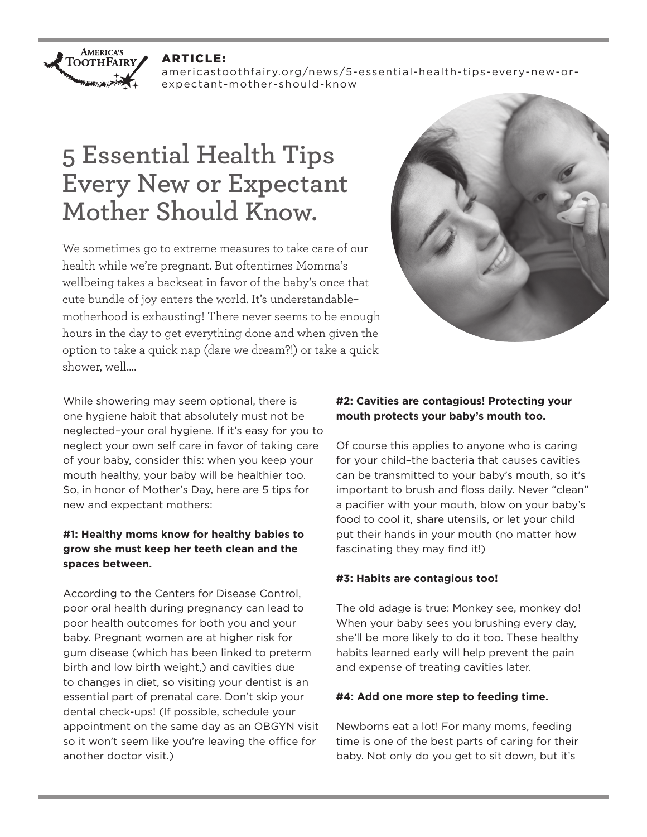

#### ARTICLE:

americastoothfairy.org/news/5-essential-health-tips-every-new-orexpectant-mother-should-know

# **5 Essential Health Tips Every New or Expectant Mother Should Know.**

We sometimes go to extreme measures to take care of our health while we're pregnant. But oftentimes Momma's wellbeing takes a backseat in favor of the baby's once that cute bundle of joy enters the world. It's understandable– motherhood is exhausting! There never seems to be enough hours in the day to get everything done and when given the option to take a quick nap (dare we dream?!) or take a quick shower, well….



While showering may seem optional, there is one hygiene habit that absolutely must not be neglected–your oral hygiene. If it's easy for you to neglect your own self care in favor of taking care of your baby, consider this: when you keep your mouth healthy, your baby will be healthier too. So, in honor of Mother's Day, here are 5 tips for new and expectant mothers:

# **#1: Healthy moms know for healthy babies to grow she must keep her teeth clean and the spaces between.**

According to the Centers for Disease Control, poor oral health during pregnancy can lead to poor health outcomes for both you and your baby. Pregnant women are at higher risk for gum disease (which has been linked to preterm birth and low birth weight,) and cavities due to changes in diet, so visiting your dentist is an essential part of prenatal care. Don't skip your dental check-ups! (If possible, schedule your appointment on the same day as an OBGYN visit so it won't seem like you're leaving the office for another doctor visit.)

## **#2: Cavities are contagious! Protecting your mouth protects your baby's mouth too.**

Of course this applies to anyone who is caring for your child–the bacteria that causes cavities can be transmitted to your baby's mouth, so it's important to brush and floss daily. Never "clean" a pacifier with your mouth, blow on your baby's food to cool it, share utensils, or let your child put their hands in your mouth (no matter how fascinating they may find it!)

## **#3: Habits are contagious too!**

The old adage is true: Monkey see, monkey do! When your baby sees you brushing every day, she'll be more likely to do it too. These healthy habits learned early will help prevent the pain and expense of treating cavities later.

## **#4: Add one more step to feeding time.**

Newborns eat a lot! For many moms, feeding time is one of the best parts of caring for their baby. Not only do you get to sit down, but it's